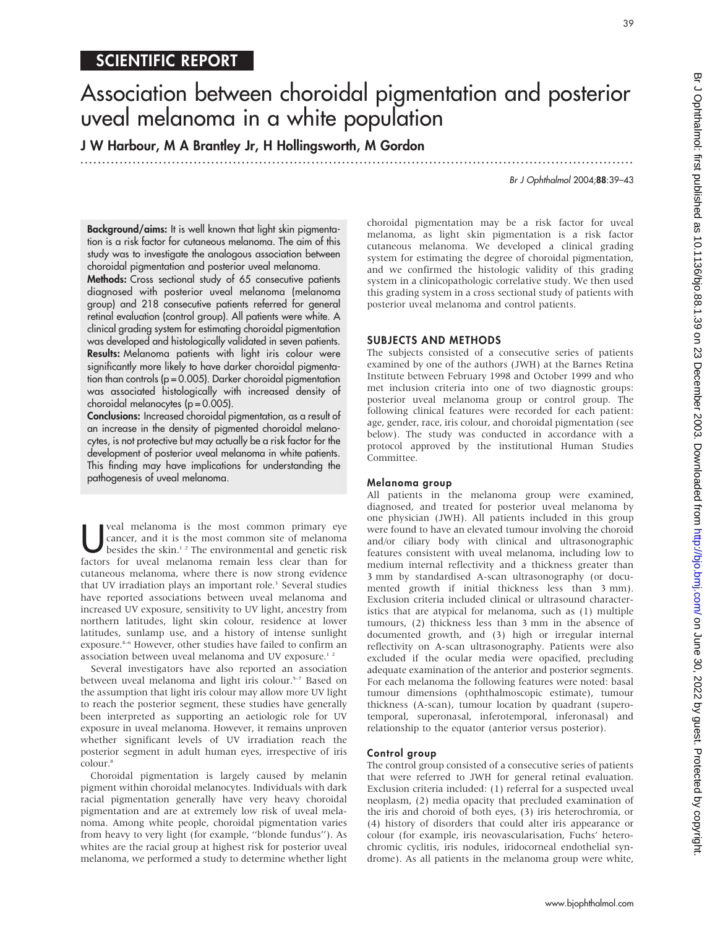# SCIENTIFIC REPORT

# Association between choroidal pigmentation and posterior uveal melanoma in a white population

J W Harbour, M A Brantley Jr, H Hollingsworth, M Gordon

.............................................................................................................................. .

Br J Ophthalmol 2004;88:39–43

39

Background/aims: It is well known that light skin pigmentation is a risk factor for cutaneous melanoma. The aim of this study was to investigate the analogous association between choroidal pigmentation and posterior uveal melanoma.

Methods: Cross sectional study of 65 consecutive patients diagnosed with posterior uveal melanoma (melanoma group) and 218 consecutive patients referred for general retinal evaluation (control group). All patients were white. A clinical grading system for estimating choroidal pigmentation was developed and histologically validated in seven patients. Results: Melanoma patients with light iris colour were significantly more likely to have darker choroidal pigmentation than controls ( $p = 0.005$ ). Darker choroidal pigmentation was associated histologically with increased density of choroidal melanocytes (p = 0.005).

Conclusions: Increased choroidal pigmentation, as a result of an increase in the density of pigmented choroidal melanocytes, is not protective but may actually be a risk factor for the development of posterior uveal melanoma in white patients. This finding may have implications for understanding the pathogenesis of uveal melanoma.

Uveal melanoma is the most common primary eye<br>
besides the skin.<sup>12</sup> The environmental and genetic risk<br>
factors for uveal melanoma remain loss clear than for cancer, and it is the most common site of melanoma factors for uveal melanoma remain less clear than for cutaneous melanoma, where there is now strong evidence that UV irradiation plays an important role.<sup>3</sup> Several studies have reported associations between uveal melanoma and increased UV exposure, sensitivity to UV light, ancestry from northern latitudes, light skin colour, residence at lower latitudes, sunlamp use, and a history of intense sunlight exposure.<sup>4-6</sup> However, other studies have failed to confirm an association between uveal melanoma and UV exposure.<sup>12</sup>

Several investigators have also reported an association between uveal melanoma and light iris colour.<sup>5-7</sup> Based on the assumption that light iris colour may allow more UV light to reach the posterior segment, these studies have generally been interpreted as supporting an aetiologic role for UV exposure in uveal melanoma. However, it remains unproven whether significant levels of UV irradiation reach the posterior segment in adult human eyes, irrespective of iris colour.<sup>8</sup>

Choroidal pigmentation is largely caused by melanin pigment within choroidal melanocytes. Individuals with dark racial pigmentation generally have very heavy choroidal pigmentation and are at extremely low risk of uveal melanoma. Among white people, choroidal pigmentation varies from heavy to very light (for example, ''blonde fundus''). As whites are the racial group at highest risk for posterior uveal melanoma, we performed a study to determine whether light choroidal pigmentation may be a risk factor for uveal melanoma, as light skin pigmentation is a risk factor cutaneous melanoma. We developed a clinical grading system for estimating the degree of choroidal pigmentation, and we confirmed the histologic validity of this grading system in a clinicopathologic correlative study. We then used this grading system in a cross sectional study of patients with posterior uveal melanoma and control patients.

#### SUBJECTS AND METHODS

The subjects consisted of a consecutive series of patients examined by one of the authors (JWH) at the Barnes Retina Institute between February 1998 and October 1999 and who met inclusion criteria into one of two diagnostic groups: posterior uveal melanoma group or control group. The following clinical features were recorded for each patient: age, gender, race, iris colour, and choroidal pigmentation (see below). The study was conducted in accordance with a protocol approved by the institutional Human Studies Committee.

#### Melanoma group

All patients in the melanoma group were examined, diagnosed, and treated for posterior uveal melanoma by one physician (JWH). All patients included in this group were found to have an elevated tumour involving the choroid and/or ciliary body with clinical and ultrasonographic features consistent with uveal melanoma, including low to medium internal reflectivity and a thickness greater than 3 mm by standardised A-scan ultrasonography (or documented growth if initial thickness less than 3 mm). Exclusion criteria included clinical or ultrasound characteristics that are atypical for melanoma, such as (1) multiple tumours, (2) thickness less than 3 mm in the absence of documented growth, and (3) high or irregular internal reflectivity on A-scan ultrasonography. Patients were also excluded if the ocular media were opacified, precluding adequate examination of the anterior and posterior segments. For each melanoma the following features were noted: basal tumour dimensions (ophthalmoscopic estimate), tumour thickness (A-scan), tumour location by quadrant (superotemporal, superonasal, inferotemporal, inferonasal) and relationship to the equator (anterior versus posterior).

#### Control group

The control group consisted of a consecutive series of patients that were referred to JWH for general retinal evaluation. Exclusion criteria included: (1) referral for a suspected uveal neoplasm, (2) media opacity that precluded examination of the iris and choroid of both eyes, (3) iris heterochromia, or (4) history of disorders that could alter iris appearance or colour (for example, iris neovascularisation, Fuchs' heterochromic cyclitis, iris nodules, iridocorneal endothelial syndrome). As all patients in the melanoma group were white,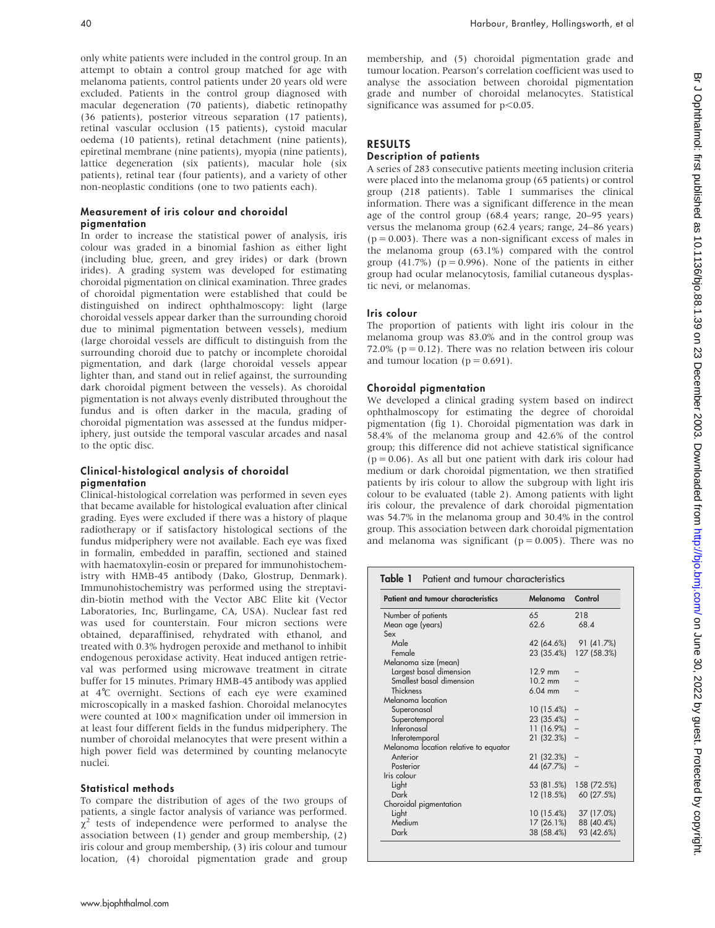only white patients were included in the control group. In an attempt to obtain a control group matched for age with melanoma patients, control patients under 20 years old were excluded. Patients in the control group diagnosed with macular degeneration (70 patients), diabetic retinopathy (36 patients), posterior vitreous separation (17 patients), retinal vascular occlusion (15 patients), cystoid macular oedema (10 patients), retinal detachment (nine patients), epiretinal membrane (nine patients), myopia (nine patients), lattice degeneration (six patients), macular hole (six patients), retinal tear (four patients), and a variety of other non-neoplastic conditions (one to two patients each).

#### Measurement of iris colour and choroidal pigmentation

In order to increase the statistical power of analysis, iris colour was graded in a binomial fashion as either light (including blue, green, and grey irides) or dark (brown irides). A grading system was developed for estimating choroidal pigmentation on clinical examination. Three grades of choroidal pigmentation were established that could be distinguished on indirect ophthalmoscopy: light (large choroidal vessels appear darker than the surrounding choroid due to minimal pigmentation between vessels), medium (large choroidal vessels are difficult to distinguish from the surrounding choroid due to patchy or incomplete choroidal pigmentation, and dark (large choroidal vessels appear lighter than, and stand out in relief against, the surrounding dark choroidal pigment between the vessels). As choroidal pigmentation is not always evenly distributed throughout the fundus and is often darker in the macula, grading of choroidal pigmentation was assessed at the fundus midperiphery, just outside the temporal vascular arcades and nasal to the optic disc.

#### Clinical-histological analysis of choroidal pigmentation

Clinical-histological correlation was performed in seven eyes that became available for histological evaluation after clinical grading. Eyes were excluded if there was a history of plaque radiotherapy or if satisfactory histological sections of the fundus midperiphery were not available. Each eye was fixed in formalin, embedded in paraffin, sectioned and stained with haematoxylin-eosin or prepared for immunohistochemistry with HMB-45 antibody (Dako, Glostrup, Denmark). Immunohistochemistry was performed using the streptavidin-biotin method with the Vector ABC Elite kit (Vector Laboratories, Inc, Burlingame, CA, USA). Nuclear fast red was used for counterstain. Four micron sections were obtained, deparaffinised, rehydrated with ethanol, and treated with 0.3% hydrogen peroxide and methanol to inhibit endogenous peroxidase activity. Heat induced antigen retrieval was performed using microwave treatment in citrate buffer for 15 minutes. Primary HMB-45 antibody was applied at 4˚C overnight. Sections of each eye were examined microscopically in a masked fashion. Choroidal melanocytes were counted at  $100 \times$  magnification under oil immersion in at least four different fields in the fundus midperiphery. The number of choroidal melanocytes that were present within a high power field was determined by counting melanocyte nuclei.

#### Statistical methods

To compare the distribution of ages of the two groups of patients, a single factor analysis of variance was performed.  $\chi^2$  tests of independence were performed to analyse the association between (1) gender and group membership, (2) iris colour and group membership, (3) iris colour and tumour location, (4) choroidal pigmentation grade and group

membership, and (5) choroidal pigmentation grade and tumour location. Pearson's correlation coefficient was used to analyse the association between choroidal pigmentation grade and number of choroidal melanocytes. Statistical significance was assumed for  $p<0.05$ .

### RESULTS

#### Description of patients

A series of 283 consecutive patients meeting inclusion criteria were placed into the melanoma group (65 patients) or control group (218 patients). Table 1 summarises the clinical information. There was a significant difference in the mean age of the control group (68.4 years; range, 20–95 years) versus the melanoma group (62.4 years; range, 24–86 years)  $(p = 0.003)$ . There was a non-significant excess of males in the melanoma group (63.1%) compared with the control group  $(41.7\%)$  ( $p = 0.996$ ). None of the patients in either group had ocular melanocytosis, familial cutaneous dysplastic nevi, or melanomas.

#### Iris colour

The proportion of patients with light iris colour in the melanoma group was 83.0% and in the control group was 72.0% ( $p = 0.12$ ). There was no relation between iris colour and tumour location ( $p = 0.691$ ).

#### Choroidal pigmentation

We developed a clinical grading system based on indirect ophthalmoscopy for estimating the degree of choroidal pigmentation (fig 1). Choroidal pigmentation was dark in 58.4% of the melanoma group and 42.6% of the control group; this difference did not achieve statistical significance  $(p = 0.06)$ . As all but one patient with dark iris colour had medium or dark choroidal pigmentation, we then stratified patients by iris colour to allow the subgroup with light iris colour to be evaluated (table 2). Among patients with light iris colour, the prevalence of dark choroidal pigmentation was 54.7% in the melanoma group and 30.4% in the control group. This association between dark choroidal pigmentation and melanoma was significant ( $p = 0.005$ ). There was no

| <b>Table 1</b> Patient and tumour characteristics |                   |                        |  |  |
|---------------------------------------------------|-------------------|------------------------|--|--|
| Patient and tumour characteristics                | Melanoma          | Control                |  |  |
| Number of patients                                | 65                | 218                    |  |  |
| Mean age (years)                                  | 62.6              | 68.4                   |  |  |
| Sex                                               |                   |                        |  |  |
| Male                                              | 42 (64.6%)        | 91 (41.7%)             |  |  |
| Female                                            |                   | 23 (35.4%) 127 (58.3%) |  |  |
| Melanoma size (mean)                              |                   |                        |  |  |
| Largest basal dimension                           | $129$ mm          |                        |  |  |
| Smallest basal dimension                          | $10.2 \text{ mm}$ |                        |  |  |
| Thickness                                         | $6.04$ mm         |                        |  |  |
| Melanoma location                                 |                   |                        |  |  |
| Superonasal                                       | 10 (15.4%)        |                        |  |  |
| Superotemporal                                    | $23(35.4%) -$     |                        |  |  |
| Inferonasal                                       | $11(16.9%)$ -     |                        |  |  |
| Inferotemporal                                    | 21 (32.3%)        |                        |  |  |
| Melanoma location relative to equator             |                   |                        |  |  |
| Anterior                                          | $21(32.3%) -$     |                        |  |  |
| Posterior                                         | 44 (67.7%)        |                        |  |  |
| Iris colour                                       |                   |                        |  |  |
| Light                                             |                   | 53 (81.5%) 158 (72.5%) |  |  |
| Dark                                              | 12 (18.5%)        | 60 (27.5%)             |  |  |
| Choroidal pigmentation                            |                   |                        |  |  |
| Light                                             | 10 (15.4%)        | 37 (17.0%)             |  |  |
| Medium                                            | 17 (26.1%)        | 88 (40.4%)             |  |  |
| Dark                                              | 38 (58.4%)        | 93 (42.6%)             |  |  |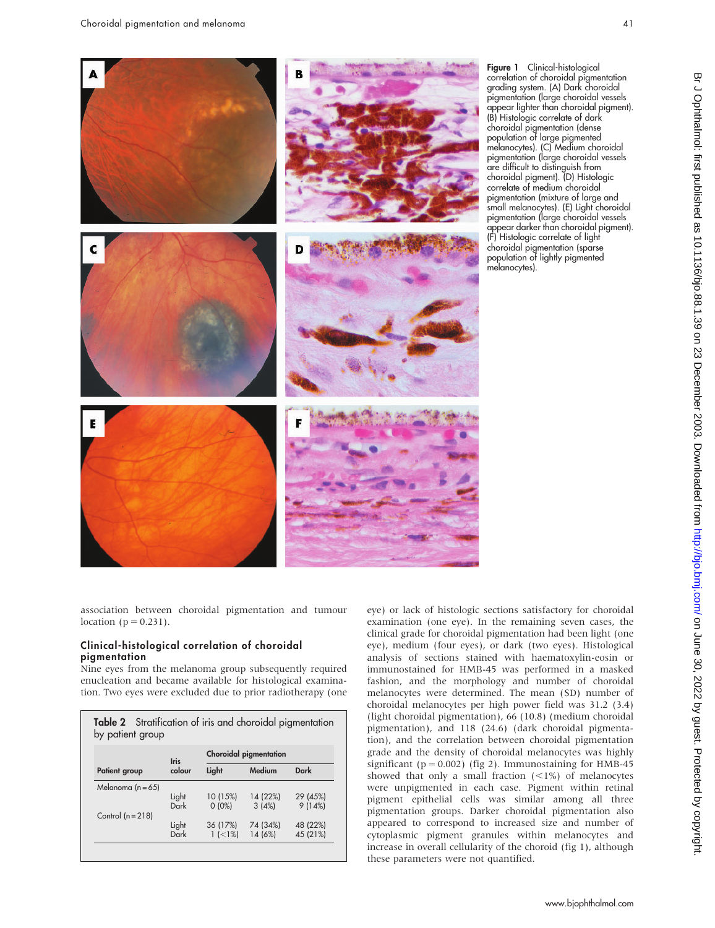

Figure 1 Clinical-histological correlation of choroidal pigmentation grading system. (A) Dark choroidal pigmentation (large choroidal vessels appear lighter than choroidal pigment). (B) Histologic correlate of dark choroidal pigmentation (dense population of large pigmented melanocytes). (C) Medium choroidal pigmentation (large choroidal vessels are difficult to distinguish from choroidal pigment). (D) Histologic correlate of medium choroidal pigmentation (mixture of large and small melanocytes). (E) Light choroidal pigmentation (large choroidal vessels appear darker than choroidal pigment). (F) Histologic correlate of light choroidal pigmentation (sparse population of lightly pigmented

association between choroidal pigmentation and tumour location ( $p = 0.231$ ).

#### Clinical-histological correlation of choroidal pigmentation

Nine eyes from the melanoma group subsequently required enucleation and became available for histological examination. Two eyes were excluded due to prior radiotherapy (one

| Patient group         | <b>Iris</b><br>colour | <b>Choroidal pigmentation</b> |          |          |
|-----------------------|-----------------------|-------------------------------|----------|----------|
|                       |                       | Light                         | Medium   | Dark     |
| Melanoma ( $n = 65$ ) |                       |                               |          |          |
|                       | Light                 | 10 (15%)                      | 14 (22%) | 29 (45%) |
|                       | Dark                  | $0(0\%)$                      | 3(4%)    | 9(14%)   |
| Control $(n = 218)$   |                       |                               |          |          |
|                       | Light                 | 36 (17%)                      | 74 (34%) | 48 (22%) |
|                       | Dark                  | $1 (-1%)$                     | 14 (6%)  | 45 (21%) |

eye) or lack of histologic sections satisfactory for choroidal examination (one eye). In the remaining seven cases, the clinical grade for choroidal pigmentation had been light (one eye), medium (four eyes), or dark (two eyes). Histological analysis of sections stained with haematoxylin-eosin or immunostained for HMB-45 was performed in a masked fashion, and the morphology and number of choroidal melanocytes were determined. The mean (SD) number of choroidal melanocytes per high power field was 31.2 (3.4) (light choroidal pigmentation), 66 (10.8) (medium choroidal pigmentation), and 118 (24.6) (dark choroidal pigmentation), and the correlation between choroidal pigmentation grade and the density of choroidal melanocytes was highly significant ( $p = 0.002$ ) (fig 2). Immunostaining for HMB-45 showed that only a small fraction  $(<1%)$  of melanocytes were unpigmented in each case. Pigment within retinal pigment epithelial cells was similar among all three pigmentation groups. Darker choroidal pigmentation also appeared to correspond to increased size and number of cytoplasmic pigment granules within melanocytes and increase in overall cellularity of the choroid (fig 1), although these parameters were not quantified.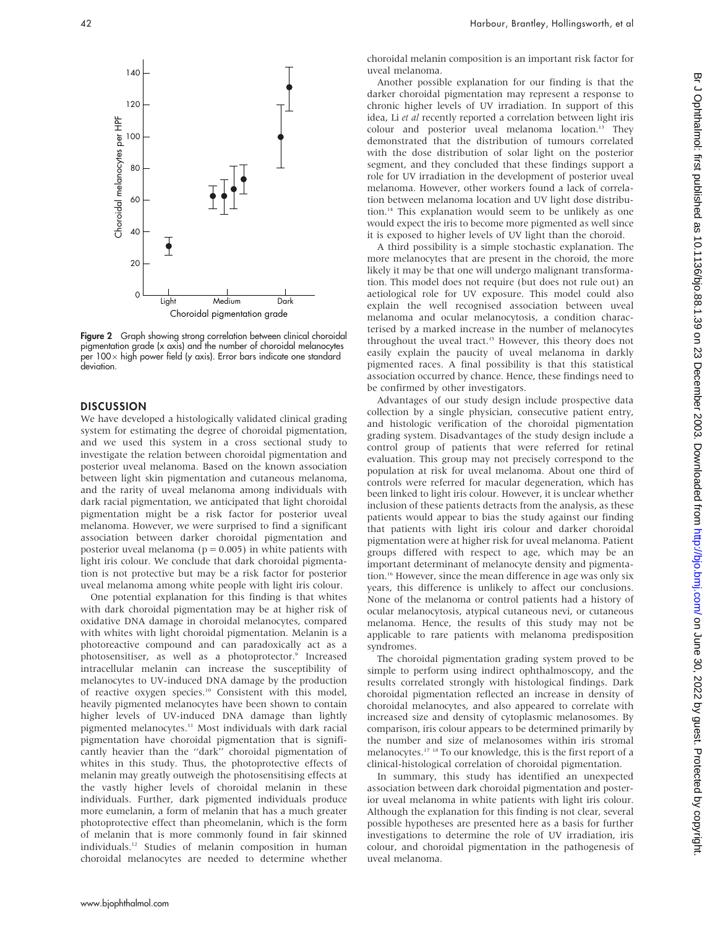

Figure 2 Graph showing strong correlation between clinical choroidal pigmentation grade (x axis) and the number of choroidal melanocytes per 100 $\times$  high power field (y axis). Error bars indicate one standard deviation.

#### **DISCUSSION**

We have developed a histologically validated clinical grading system for estimating the degree of choroidal pigmentation, and we used this system in a cross sectional study to investigate the relation between choroidal pigmentation and posterior uveal melanoma. Based on the known association between light skin pigmentation and cutaneous melanoma, and the rarity of uveal melanoma among individuals with dark racial pigmentation, we anticipated that light choroidal pigmentation might be a risk factor for posterior uveal melanoma. However, we were surprised to find a significant association between darker choroidal pigmentation and posterior uveal melanoma ( $p = 0.005$ ) in white patients with light iris colour. We conclude that dark choroidal pigmentation is not protective but may be a risk factor for posterior uveal melanoma among white people with light iris colour.

One potential explanation for this finding is that whites with dark choroidal pigmentation may be at higher risk of oxidative DNA damage in choroidal melanocytes, compared with whites with light choroidal pigmentation. Melanin is a photoreactive compound and can paradoxically act as a photosensitiser, as well as a photoprotector.<sup>9</sup> Increased intracellular melanin can increase the susceptibility of melanocytes to UV-induced DNA damage by the production of reactive oxygen species.<sup>10</sup> Consistent with this model, heavily pigmented melanocytes have been shown to contain higher levels of UV-induced DNA damage than lightly pigmented melanocytes.11 Most individuals with dark racial pigmentation have choroidal pigmentation that is significantly heavier than the ''dark'' choroidal pigmentation of whites in this study. Thus, the photoprotective effects of melanin may greatly outweigh the photosensitising effects at the vastly higher levels of choroidal melanin in these individuals. Further, dark pigmented individuals produce more eumelanin, a form of melanin that has a much greater photoprotective effect than pheomelanin, which is the form of melanin that is more commonly found in fair skinned individuals.12 Studies of melanin composition in human choroidal melanocytes are needed to determine whether choroidal melanin composition is an important risk factor for uveal melanoma.

Another possible explanation for our finding is that the darker choroidal pigmentation may represent a response to chronic higher levels of UV irradiation. In support of this idea, Li et al recently reported a correlation between light iris colour and posterior uveal melanoma location.13 They demonstrated that the distribution of tumours correlated with the dose distribution of solar light on the posterior segment, and they concluded that these findings support a role for UV irradiation in the development of posterior uveal melanoma. However, other workers found a lack of correlation between melanoma location and UV light dose distribution.14 This explanation would seem to be unlikely as one would expect the iris to become more pigmented as well since it is exposed to higher levels of UV light than the choroid.

A third possibility is a simple stochastic explanation. The more melanocytes that are present in the choroid, the more likely it may be that one will undergo malignant transformation. This model does not require (but does not rule out) an aetiological role for UV exposure. This model could also explain the well recognised association between uveal melanoma and ocular melanocytosis, a condition characterised by a marked increase in the number of melanocytes throughout the uveal tract.<sup>15</sup> However, this theory does not easily explain the paucity of uveal melanoma in darkly pigmented races. A final possibility is that this statistical association occurred by chance. Hence, these findings need to be confirmed by other investigators.

Advantages of our study design include prospective data collection by a single physician, consecutive patient entry, and histologic verification of the choroidal pigmentation grading system. Disadvantages of the study design include a control group of patients that were referred for retinal evaluation. This group may not precisely correspond to the population at risk for uveal melanoma. About one third of controls were referred for macular degeneration, which has been linked to light iris colour. However, it is unclear whether inclusion of these patients detracts from the analysis, as these patients would appear to bias the study against our finding that patients with light iris colour and darker choroidal pigmentation were at higher risk for uveal melanoma. Patient groups differed with respect to age, which may be an important determinant of melanocyte density and pigmentation.<sup>16</sup> However, since the mean difference in age was only six years, this difference is unlikely to affect our conclusions. None of the melanoma or control patients had a history of ocular melanocytosis, atypical cutaneous nevi, or cutaneous melanoma. Hence, the results of this study may not be applicable to rare patients with melanoma predisposition syndromes.

The choroidal pigmentation grading system proved to be simple to perform using indirect ophthalmoscopy, and the results correlated strongly with histological findings. Dark choroidal pigmentation reflected an increase in density of choroidal melanocytes, and also appeared to correlate with increased size and density of cytoplasmic melanosomes. By comparison, iris colour appears to be determined primarily by the number and size of melanosomes within iris stromal melanocytes.17 18 To our knowledge, this is the first report of a clinical-histological correlation of choroidal pigmentation.

In summary, this study has identified an unexpected association between dark choroidal pigmentation and posterior uveal melanoma in white patients with light iris colour. Although the explanation for this finding is not clear, several possible hypotheses are presented here as a basis for further investigations to determine the role of UV irradiation, iris colour, and choroidal pigmentation in the pathogenesis of uveal melanoma.